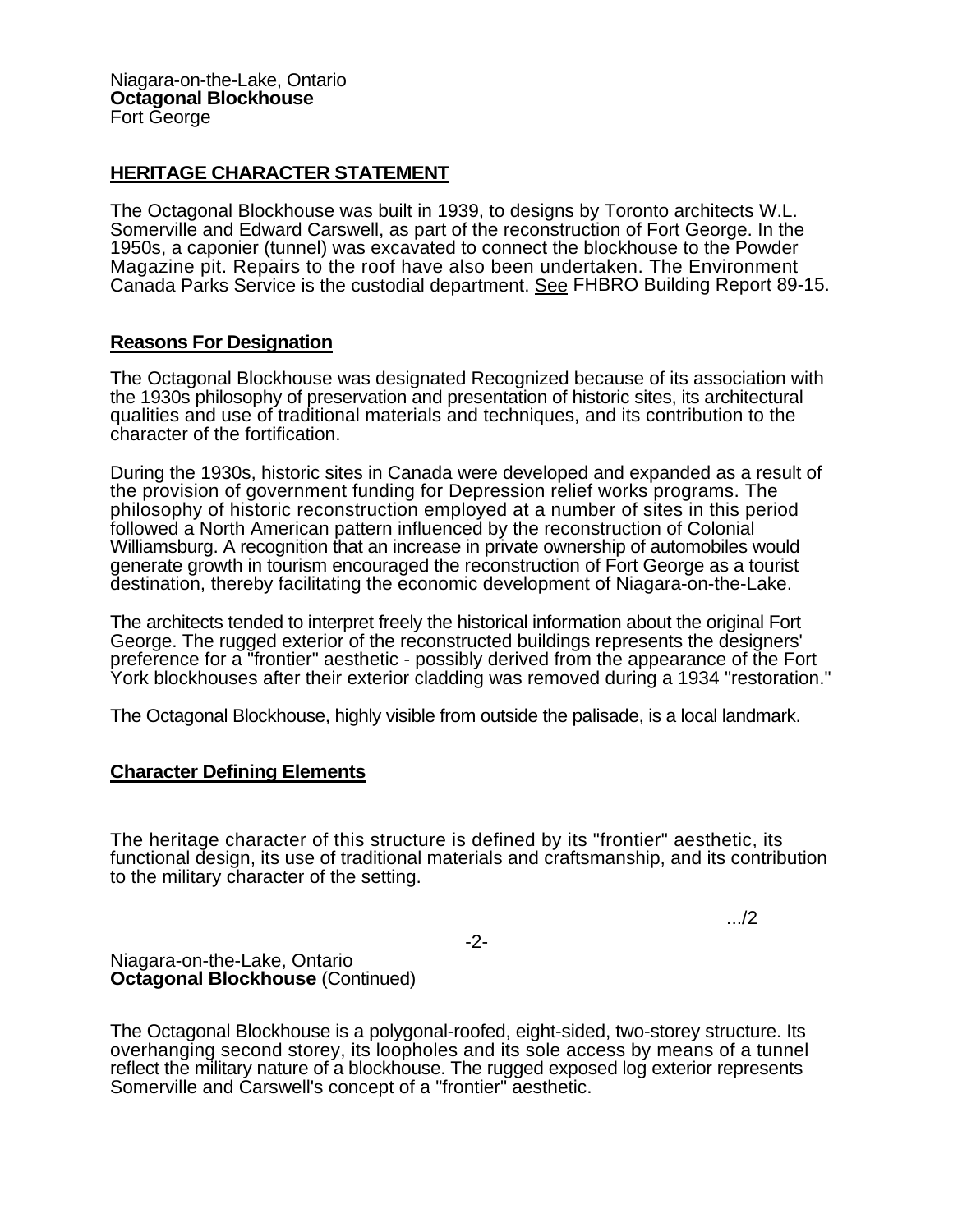## **HERITAGE CHARACTER STATEMENT**

The Octagonal Blockhouse was built in 1939, to designs by Toronto architects W.L. Somerville and Edward Carswell, as part of the reconstruction of Fort George. In the 1950s, a caponier (tunnel) was excavated to connect the blockhouse to the Powder Magazine pit. Repairs to the roof have also been undertaken. The Environment Canada Parks Service is the custodial department. See FHBRO Building Report 89-15.

## **Reasons For Designation**

The Octagonal Blockhouse was designated Recognized because of its association with the 1930s philosophy of preservation and presentation of historic sites, its architectural qualities and use of traditional materials and techniques, and its contribution to the character of the fortification.

During the 1930s, historic sites in Canada were developed and expanded as a result of the provision of government funding for Depression relief works programs. The philosophy of historic reconstruction employed at a number of sites in this period followed a North American pattern influenced by the reconstruction of Colonial Williamsburg. A recognition that an increase in private ownership of automobiles would generate growth in tourism encouraged the reconstruction of Fort George as a tourist destination, thereby facilitating the economic development of Niagara-on-the-Lake.

The architects tended to interpret freely the historical information about the original Fort George. The rugged exterior of the reconstructed buildings represents the designers' preference for a "frontier" aesthetic - possibly derived from the appearance of the Fort York blockhouses after their exterior cladding was removed during a 1934 "restoration."

The Octagonal Blockhouse, highly visible from outside the palisade, is a local landmark.

## **Character Defining Elements**

The heritage character of this structure is defined by its "frontier" aesthetic, its functional design, its use of traditional materials and craftsmanship, and its contribution to the military character of the setting.

.../2

-2-

Niagara-on-the-Lake, Ontario **Octagonal Blockhouse** (Continued)

The Octagonal Blockhouse is a polygonal-roofed, eight-sided, two-storey structure. Its overhanging second storey, its loopholes and its sole access by means of a tunnel reflect the military nature of a blockhouse. The rugged exposed log exterior represents Somerville and Carswell's concept of a "frontier" aesthetic.